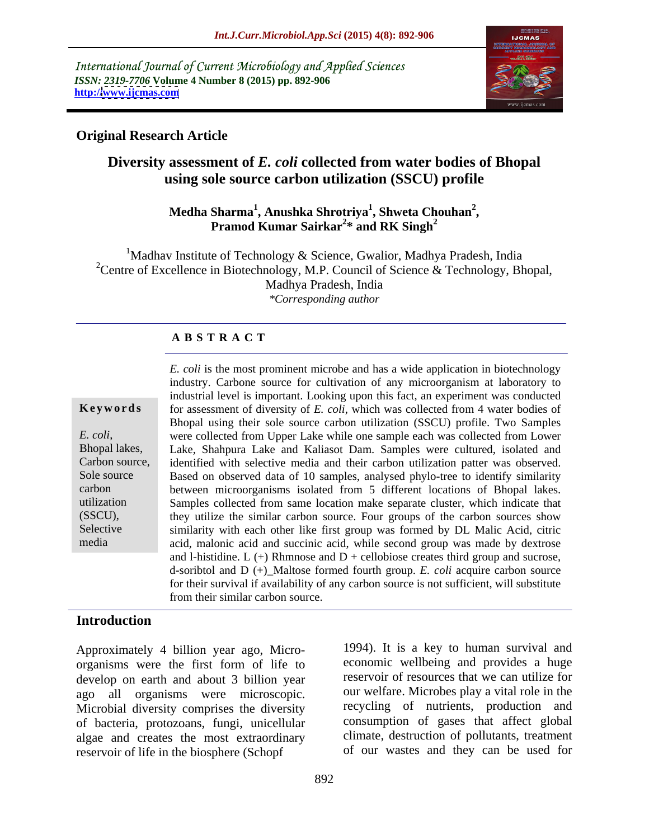International Journal of Current Microbiology and Applied Sciences *ISSN: 2319-7706* **Volume 4 Number 8 (2015) pp. 892-906 http:/[/www.ijcmas.com](http://www.ijcmas.com)**



### **Original Research Article**

# **Diversity assessment of** *E. coli* **collected from water bodies of Bhopal using sole source carbon utilization (SSCU) profile**

### **Medha Sharma<sup>1</sup> , Anushka Shrotriya<sup>1</sup> , Shweta Chouhan<sup>2</sup>** Sharma<sup>1</sup>, Anushka Shrotriya<sup>1</sup>, Shweta Chouhan<sup>2</sup>,<br>Pramod Kumar Sairkar<sup>2</sup>\* and RK Singh<sup>2</sup> **\* and RK Singh<sup>2</sup>**

<sup>1</sup>Madhav Institute of Technology & Science, Gwalior, Madhya Pradesh, India <sup>2</sup>Centre of Excellence in Biotechnology, M.P. Council of Science & Technology, Bhopal, Madhya Pradesh, India *\*Corresponding author*

### **A B S T R A C T**

media

*E. coli* is the most prominent microbe and has a wide application in biotechnology industry. Carbone source for cultivation of any microorganism at laboratory to industrial level is important. Looking upon this fact, an experiment was conducted **Keywords** for assessment of diversity of *E. coli*, which was collected from 4 water bodies of Bhopal using their sole source carbon utilization (SSCU) profile. Two Samples were collected from Upper Lake while one sample each was collected from Lower E. coli, were collected from Upper Lake while one sample each was collected from Lower<br>Bhopal lakes, Lake, Shahpura Lake and Kaliasot Dam. Samples were cultured, isolated and Carbon source, identified with selective media and their carbon utilization patter was observed. Sole source Based on observed data of 10 samples, analysed phylo-tree to identify similarity carbon between microorganisms isolated from 5 different locations of Bhopal lakes. Samples collected from same location make separate cluster, which indicate that utilization they utilize the similar carbon source. Four groups of the carbon sources show (SSCU), Selective similarity with each other like first group was formed by DL Malic Acid, citric acid, malonic acid and succinic acid, while second group was made by dextrose and l-histidine.  $L$  (+) Rhmnose and  $D$  + cellobiose creates third group and sucrose, d-soribtol and D (+)\_Maltose formed fourth group. *E. coli* acquire carbon source for their survival if availability of any carbon source is not sufficient, will substitute from their similar carbon source.

### **Introduction**

Approximately 4 billion year ago, Micro organisms were the first form of life to develop on earth and about 3 billion year ago all organisms were microscopic. Microbial diversity comprises the diversity of bacteria, protozoans, fungi, unicellular algae and creates the most extraordinary reservoir of life in the biosphere (Schopf

1994). It is a key to human survival and economic wellbeing and provides a huge reservoir of resources that we can utilize for our welfare. Microbes play a vital role in the recycling of nutrients, production and consumption of gases that affect global climate, destruction of pollutants, treatment of our wastes and they can be used for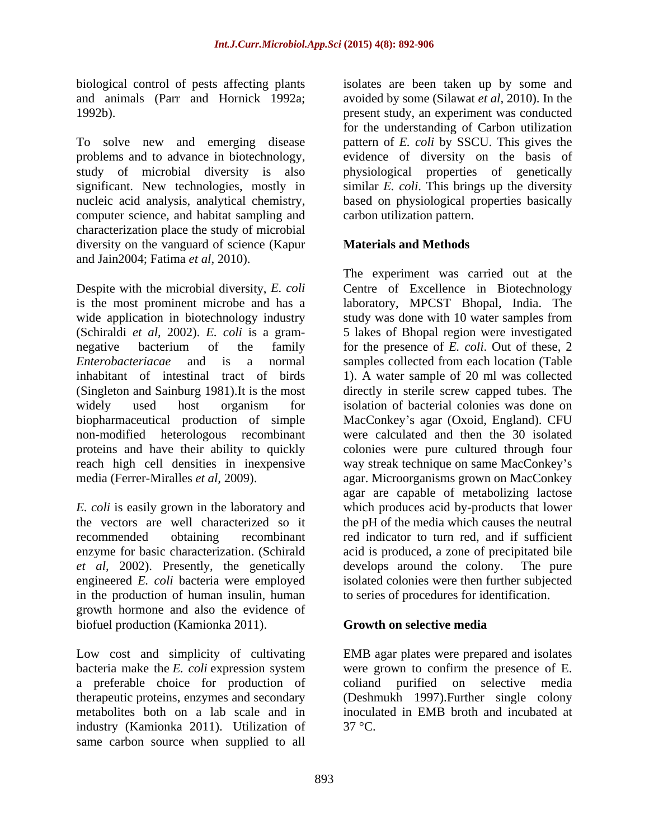biological control of pests affecting plants

To solve new and emerging disease problems and to advance in biotechnology, evidence of diversity on the basis of study of microbial diversity is also physiological properties of genetically significant. New technologies, mostly in similar *E. coli*. This brings up the diversity nucleic acid analysis, analytical chemistry, based on physiological properties basically computer science, and habitat sampling and characterization place the study of microbial diversity on the vanguard of science (Kapur and Jain2004; Fatima *et al,* 2010).

Despite with the microbial diversity, *E. coli* is the most prominent microbe and has a wide application in biotechnology industry study was done with 10 water samples from (Schiraldi *et al,* 2002). *E. coli* is a gram- 5 lakes of Bhopal region were investigated negative bacterium of the family for the presence of *E. coli*. Out of these, 2 *Enterobacteriacae* and is a normal samples collected from each location (Table inhabitant of intestinal tract of birds 1). A water sample of 20 ml was collected (Singleton and Sainburg 1981).It is the most directly in sterile screw capped tubes. The widely used host organism for isolation of bacterial colonies was done on biopharmaceutical production of simple MacConkey s agar (Oxoid, England). CFU non-modified heterologous recombinant were calculated and then the 30 isolated proteins and have their ability to quickly colonies were pure cultured through four reach high cell densities in inexpensive way streak technique on same MacConkey's media (Ferrer-Miralles *et al,* 2009). agar. Microorganisms grown on MacConkey

*et al,* 2002). Presently, the genetically in the production of human insulin, human growth hormone and also the evidence of biofuel production (Kamionka 2011). **Growth on selective media** 

Low cost and simplicity of cultivating bacteria make the *E. coli* expression system a preferable choice for production of therapeutic proteins, enzymes and secondary (Deshmukh 1997).Further single colony metabolites both on a lab scale and in inoculated in EMB broth and incubated at industry (Kamionka 2011). Utilization of same carbon source when supplied to all

and animals (Parr and Hornick 1992a; avoided by some (Silawat *et al,* 2010). In the 1992b). present study, an experiment was conducted isolates are been taken up by some and for the understanding of Carbon utilization pattern of *E. coli* by SSCU. This gives the carbon utilization pattern.

### **Materials and Methods**

*E. coli* is easily grown in the laboratory and which produces acid by-products that lower the vectors are well characterized so it the pH of the media which causes the neutral recommended obtaining recombinant red indicator to turn red, and if sufficient enzyme for basic characterization. (Schirald acid is produced, a zone of precipitated bile engineered *E. coli* bacteria were employed isolated colonies were then further subjected The experiment was carried out at the Centre of Excellence in Biotechnology laboratory, MPCST Bhopal, India. The isolation of bacterial colonies was done on agar are capable of metabolizing lactose develops around the colony. to series of procedures for identification.

### **Growth on selective media**

EMB agar plates were prepared and isolates were grown to confirm the presence of E. coliand purified on selective media 37 °C.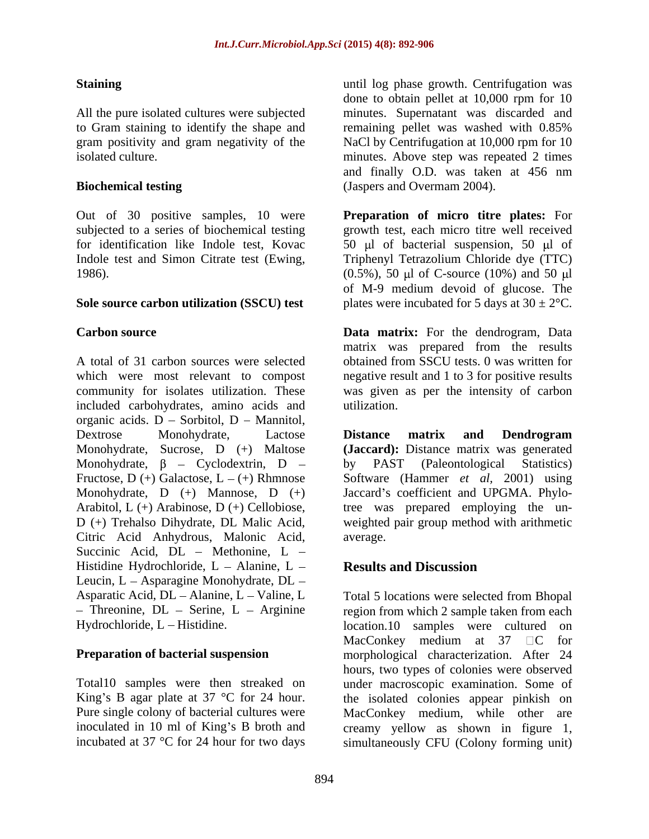to Gram staining to identify the shape and remaining pellet was washed with  $0.85\%$ 

subjected to a series of biochemical testing

included carbohydrates, amino acids and organic acids.  $D -$  Sorbitol,  $D -$  Mannitol, Dextrose Monohydrate, Lactose **Distance matrix and Dendrogram** Monohydrate, Sucrose, D (+) Maltose **(Jaccard):** Distance matrix was generated Monohydrate,  $\beta$  – Cyclodextrin, D – by PAST (Paleontological Statistics) Fructose,  $D (+)$  Galactose,  $L - (+)$  Rhmnose Monohydrate, D (+) Mannose, D (+) Jaccard's coefficient and UPGMA. Phylo-Arabitol, L (+) Arabinose, D (+) Cellobiose, tree was prepared employing the un- D (+) Trehalso Dihydrate, DL Malic Acid, weighted pair group method with arithmetic Citric Acid Anhydrous, Malonic Acid, Succinic Acid,  $DL$  – Methonine,  $L$  – Histidine Hydrochloride,  $L -$  Alanine,  $L -$  Results and Discussion Leucin, L - Asparagine Monohydrate, DL -

**Staining** extending the state of the until log phase growth. Centrifugation was All the pure isolated cultures were subjected minutes. Supernatant was discarded and gram positivity and gram negativity of the NaCl by Centrifugation at 10,000 rpm for 10 isolated culture. minutes. Above step was repeated 2 times **Biochemical testing** (Jaspers and Overmam 2004). done to obtain pellet at 10,000 rpm for 10 remaining pellet was washed with 0.85% and finally O.D. was taken at 456 nm

Out of 30 positive samples, 10 were **Preparation of micro titre plates:** For for identification like Indole test, Kovac  $\qquad 50 \text{ }\mu\text{l}$  of bacterial suspension, 50  $\mu\text{l}$  of Indole test and Simon Citrate test (Ewing, Triphenyl Tetrazolium Chloride dye (TTC)<br>1986). (0.5%), 50 µl of C-source (10%) and 50 µl **Sole source carbon utilization (SSCU) test** plates were incubated for 5 days at  $30 \pm 2^{\circ}$ C. growth test, each micro titre well received Triphenyl Tetrazolium Chloride dye (TTC) (0.5%), 50 µl of C-source (10%) and 50 µl of M-9 medium devoid of glucose. The

**Carbon source Data matrix:** For the dendrogram, Data A total of 31 carbon sources were selected obtained from SSCU tests. 0 was written for which were most relevant to compost negative result and 1 to 3 for positive results community for isolates utilization. These was given as per the intensity of carbon matrix was prepared from the results utilization.

> **Distance matrix and Dendrogram** by PAST (Paleontological Statistics) Software (Hammer *et al,* 2001) using average.

# **Results and Discussion**

Asparatic Acid, DL – Alanine, L – Valine, L Total 5 locations were selected from Bhopal Threonine,  $DL -$  Serine,  $L -$  Arginine region from which 2 sample taken from each Hydrochloride, L Histidine. location.10 samples were cultured on **Preparation of bacterial suspension** morphological characterization. After 24 Total10 samples were then streaked on under macroscopic examination. Some of King's B agar plate at  $37 \text{ °C}$  for  $24$  hour. the isolated colonies appear pinkish on Pure single colony of bacterial cultures were MacConkey medium, while other are inoculated in 10 ml of King's B broth and creamy yellow as shown in figure 1, incubated at 37 °C for 24 hour for two days simultaneously CFU (Colony forming unit)MacConkey medium at 37  $\Box$ C for hours, two types of colonies were observed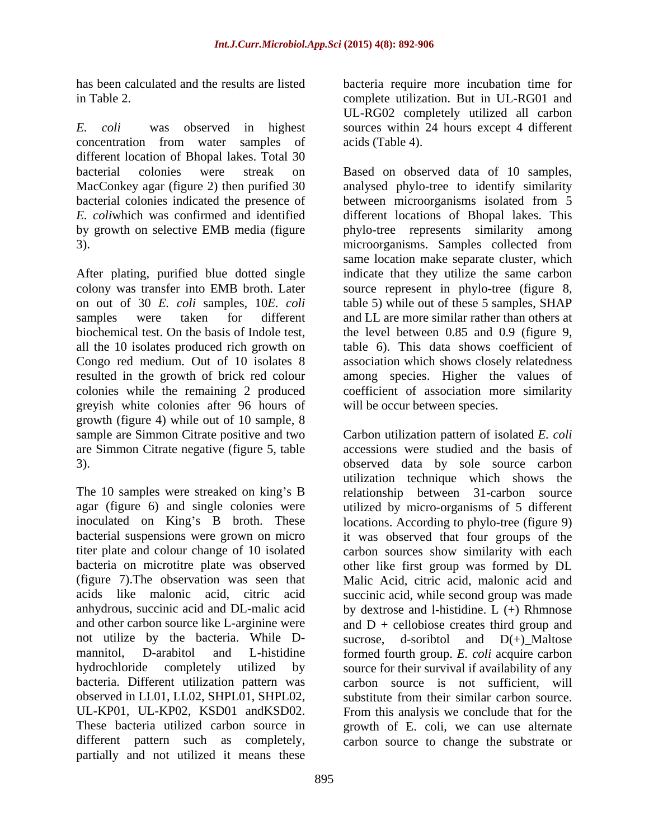*E. coli* was observed in highest sources within 24 hours except 4 different concentration from water samples of acids (Table 4). different location of Bhopal lakes. Total 30

After plating, purified blue dotted single Congo red medium. Out of 10 isolates 8 greyish white colonies after 96 hours of growth (figure 4) while out of 10 sample, 8 sample are Simmon Citrate positive and two are Simmon Citrate negative (figure 5, table

bacteria on microtitre plate was observed not utilize by the bacteria. While D- sucrose, d-soribtol and D(+) Maltose bacteria. Different utilization pattern was observed in LL01, LL02, SHPL01, SHPL02, different pattern such as completely, carbon source to change the substrate orpartially and not utilized it means these

has been calculated and the results are listed bacteria require more incubation time for in Table 2. complete utilization. But in UL-RG01 and UL-RG02 completely utilized all carbon acids (Table 4).

bacterial colonies were streak on Based on observed data of 10 samples, MacConkey agar (figure 2) then purified 30 analysed phylo-tree to identify similarity bacterial colonies indicated the presence of between microorganisms isolated from 5 *E. coli*which was confirmed and identified different locations of Bhopal lakes. This by growth on selective EMB media (figure phylo-tree represents similarity among 3). microorganisms. Samples collected from colony was transfer into EMB broth. Later source represent in phylo-tree (figure 8, on out of 30 *E. coli* samples, 10*E. coli* table 5) while out of these 5 samples, SHAP samples were taken for different and LL are more similar rather than others at biochemical test. On the basis of Indole test, the level between 0.85 and 0.9 (figure 9, all the 10 isolates produced rich growth on table 6). This data shows coefficient of resulted in the growth of brick red colour among species. Higher the values of colonies while the remaining 2 produced coefficient of association more similarity same location make separate cluster, which indicate that they utilize the same carbon association which shows closely relatedness will be occur between species.

3). observed data by sole source carbon The 10 samples were streaked on king's B and relationship between 31-carbon source agar (figure 6) and single colonies were utilized by micro-organisms of 5 different inoculated on King's B broth. These locations. According to phylo-tree (figure 9) bacterial suspensions were grown on micro it was observed that four groups of the titer plate and colour change of 10 isolated carbon sources show similarity with each (figure 7).The observation was seen that Malic Acid, citric acid, malonic acid and acids like malonic acid, citric acid succinic acid, while second group was made anhydrous, succinic acid and DL-malic acid by dextrose and l-histidine. L (+) Rhmnose and other carbon source like L-arginine were  $\qquad$  and  $D +$  cellobiose creates third group and mannitol, D-arabitol and L-histidine formed fourth group. *E. coli* acquire carbon hydrochloride completely utilized by source for their survival if availability of any UL-KP01, UL-KP02, KSD01 andKSD02. From this analysis we conclude that for the These bacteria utilized carbon source in growth of E. coli, we can use alternate Carbon utilization pattern of isolated *E. coli* accessions were studied and the basis of utilization technique which shows the other like first group was formed by DL sucrose, d-soribtol and D(+)\_Maltose carbon source is not sufficient, will substitute from their similar carbon source.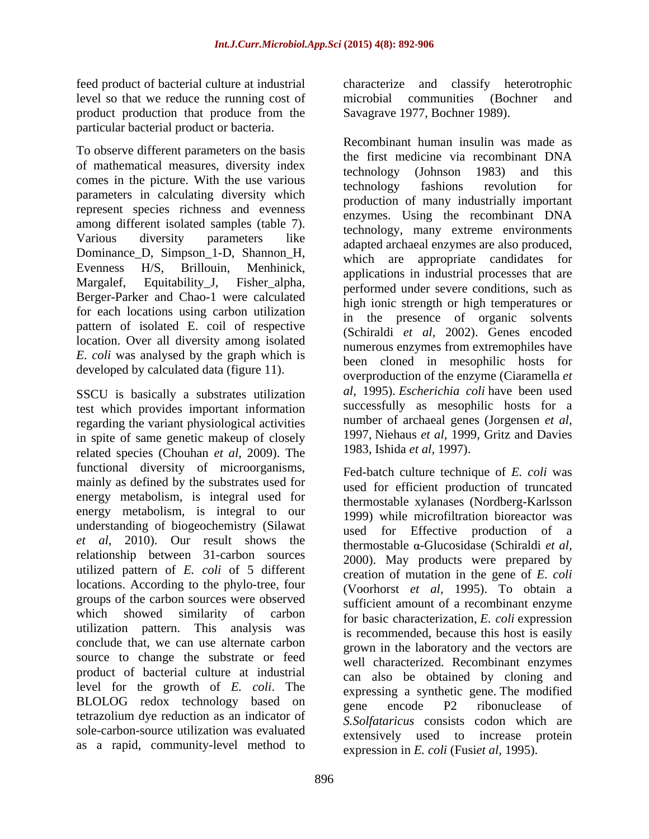level so that we reduce the running cost of product production that produce from the Savagrave 1977, Bochner 1989). particular bacterial product or bacteria.

To observe different parameters on the basis of mathematical measures, diversity index<br>technology (Johnson 1983) and this comes in the picture. With the use various technology (component to the multiple of the contract of the technology fashions revolution for parameters in calculating diversity which represent species richness and evenness among different isolated samples (table 7). Dominance\_D, Simpson\_1-D, Shannon\_H, Berger-Parker and Chao-1 were calculated for each locations using carbon utilization pattern of isolated E. coil of respective location. Over all diversity among isolated *E. coli* was analysed by the graph which is developed by calculated data (figure 11).

SSCU is basically a substrates utilization test which provides important information regarding the variant physiological activities in spite of same genetic makeup of closely related species (Chouhan *et al,* 2009). The functional diversity of microorganisms, mainly as defined by the substrates used for energy metabolism, is integral used for energy metabolism, is integral to our understanding of biogeochemistry (Silawat *et al,* 2010). Our result shows the relationship between 31-carbon sources utilized pattern of *E. coli* of 5 different locations. According to the phylo-tree, four groups of the carbon sources were observed which showed similarity of carbon utilization pattern. This analysis was conclude that, we can use alternate carbon source to change the substrate or feed product of bacterial culture at industrial level for the growth of *E. coli*. The BLOLOG redox technology based on the encode P2 ribonuclease of tetrazolium dye reduction as an indicator of sole-carbon-source utilization was evaluated as a rapid, community-level method to

feed product of bacterial culture at industrial characterize and classify heterotrophic microbial communities (Bochner Savagrave 1977, Bochner 1989).

Various diversity parameters like adapted archaeal enzymes are also produced, Evenness  $H/S$ , Brillouin, Menhinick, applications in industrial processes that are  $H/S$ ,  $H/S$ ,  $H/S$ ,  $H/S$ ,  $H/S$ ,  $H/S$ ,  $H/S$ ,  $H/S$ ,  $H/S$ ,  $H/S$ ,  $H/S$ ,  $H/S$ ,  $H/S$ ,  $H/S$ ,  $H/S$ ,  $H/S$ ,  $H/S$ ,  $H/S$ ,  $H/S$ ,  $H/S$ ,  $H/S$ ,  $H/S$ ,  $H/S$ , Margalef, Equitability<sub>-J</sub>, Fisher<sub>-alpha, performed under severe conditions, such as</sub> Recombinant human insulin was made as the first medicine via recombinant DNA technology (Johnson 1983) and this technology fashions revolution for production of many industrially important enzymes. Using the recombinant DNA technology, many extreme environments which are appropriate candidates for high ionic strength or high temperatures or in the presence of organic solvents (Schiraldi *et al,* 2002). Genes encoded numerous enzymes from extremophiles have been cloned in mesophilic hosts for overproduction of the enzyme (Ciaramella *et al,* 1995). *Escherichia coli* have been used successfully as mesophilic hosts for a number of archaeal genes (Jorgensen *et al,* 1997, Niehaus *et al,* 1999, Gritz and Davies 1983, Ishida *et al,* 1997).

> Fed-batch culture technique of *E. coli* was used for efficient production of truncated thermostable xylanases (Nordberg-Karlsson 1999) while microfiltration bioreactor was used for Effective production of a thermostable α-Glucosidase (Schiraldi *et al,* 2000). May products were prepared by creation of mutation in the gene of *E. coli* (Voorhorst *et al,* 1995). To obtain a sufficient amount of a recombinant enzyme for basic characterization, *E. coli* expression is recommended, because this host is easily grown in the laboratory and the vectors are well characterized. Recombinant enzymes can also be obtained by cloning and expressing a synthetic gene. The modified gene encode P2 ribonuclease of *S.Solfataricus* consists codon which are extensively used to increase protein expression in *E. coli* (Fusi*et al,* 1995).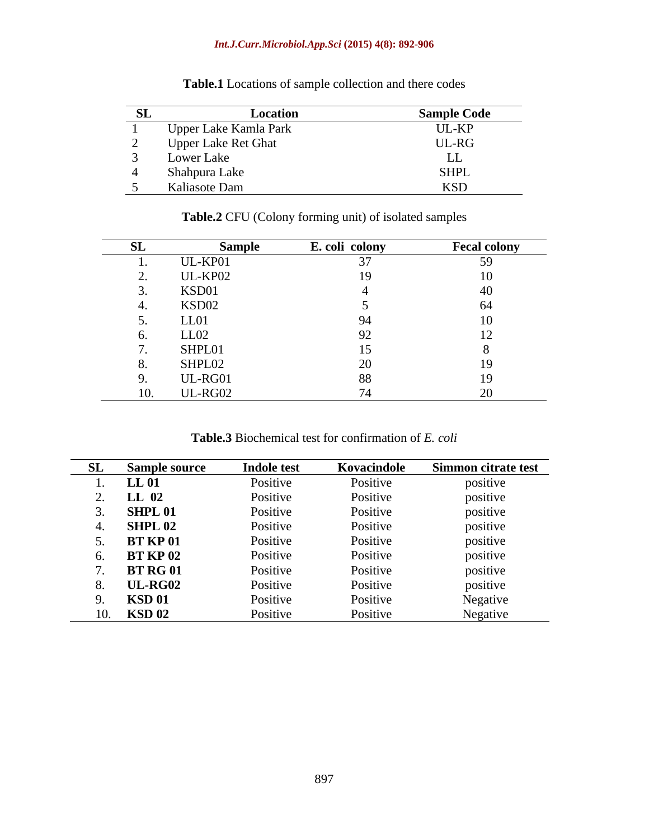### *Int.J.Curr.Microbiol.App.Sci* **(2015) 4(8): 892-906**

| லப | Location                    | <b>Sample Code</b> |
|----|-----------------------------|--------------------|
|    | Upper Lake Kamla Park       | UL-KP              |
|    | <b>Upper Lake Ret Ghat</b>  | $UL-RG$            |
|    |                             | ⊷                  |
|    | Lower Lake<br>Shahpura Lake | <b>SHPL</b>        |
|    | Kaliasote Dam               | 170 P              |

**Table.1** Locations of sample collection and there codes

| ັບມ | <b>Sample</b> | E. coli colony | <b>Fecal colony</b> |
|-----|---------------|----------------|---------------------|
|     | UL-KP01       |                | 50                  |
|     | UL-KP02       |                | 10                  |
|     | KSD01         |                |                     |
|     | KSD02         |                |                     |
|     | LL01          |                | U                   |
| o.  | LL02          |                |                     |
|     | SHPL01        |                |                     |
|     | SHPL02        |                |                     |
|     | UL-RG01       |                | 1 C                 |
| IV. | UL-RG02       |                |                     |

**Table.2** CFU (Colony forming unit) of isolated samples

**Table.3** Biochemical test for confirmation of *E. coli*

| SL  | <b>Sample source</b> | <b>Indole test</b> | Kovacindole | Simmon citrate test  |
|-----|----------------------|--------------------|-------------|----------------------|
|     | LL 01                | Positive           | Positive    | positive             |
|     | LL 02                | Positive           | Positive    | $\cdot$<br>positive  |
|     | SHPL <sub>01</sub>   | Positive           | Positive    | .<br>positive        |
|     | <b>SHPL 02</b>       | Positive           | Positive    | positive             |
|     | <b>BT KP 01</b>      | Positive           | Positive    | $\cdots$<br>positive |
|     | <b>BT KP 02</b>      | Positive           | Positive    | $\cdots$<br>positive |
|     | <b>BT RG 01</b>      | Positive           | Positive    | positive             |
|     | <b>UL-RG02</b>       | Positive           | Positive    | positive             |
|     | <b>KSD 01</b>        | Positive           | Positive    | Negative             |
| 10. | <b>KSD 02</b>        | Positive           | Positive    | Negative             |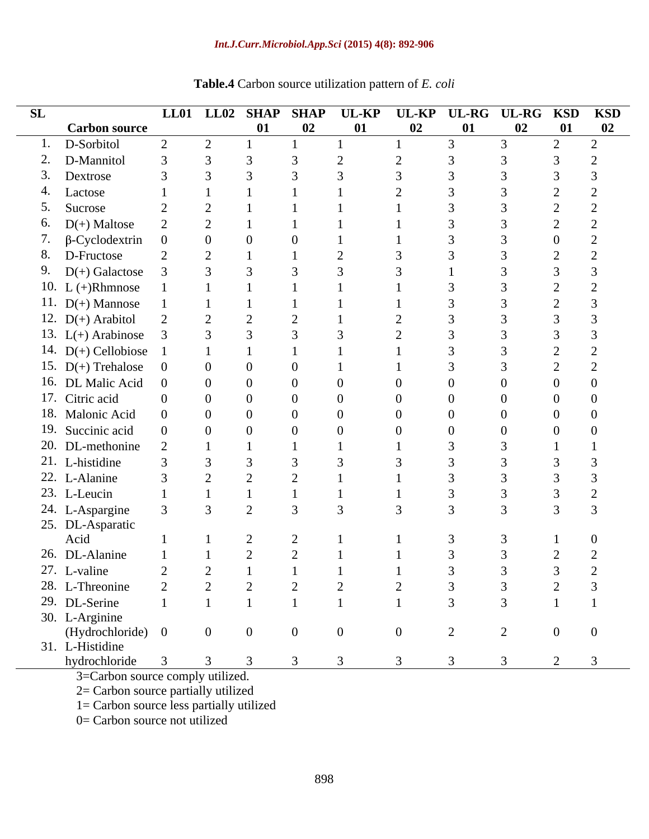### *Int.J.Curr.Microbiol.App.Sci* **(2015) 4(8): 892-906**

| SL |                            |                |                | LL01 LL02 SHAP SHAP |    |                |                |    | UL-KP UL-KP UL-RG UL-RG KSD KSD |                |                |
|----|----------------------------|----------------|----------------|---------------------|----|----------------|----------------|----|---------------------------------|----------------|----------------|
|    | <b>Carbon source</b>       |                |                | 01                  | 02 | 01             | 02             | 01 | 02                              | 01             | 02             |
|    | 1. D-Sorbitol              | 2              | 2              |                     |    |                |                |    | 3                               | 2              | $\bigcap$      |
|    | 2. D-Mannitol              |                |                |                     |    |                |                |    |                                 |                |                |
|    | 3. Dextrose                | $\mathcal{E}$  |                |                     |    |                |                |    |                                 |                |                |
|    | 4. Lactose                 |                |                |                     |    |                |                |    |                                 |                |                |
|    | 5. Sucrose                 | 2              |                |                     |    |                |                |    |                                 |                |                |
|    | 6. $D(+)$ Maltose          |                |                |                     |    |                |                |    |                                 |                |                |
|    | 7. $\beta$ -Cyclodextrin 0 |                |                |                     |    |                |                |    |                                 |                |                |
|    | 8. D-Fructose              |                |                |                     |    |                |                |    |                                 |                |                |
|    | 9. $D(+)$ Galactose        |                |                |                     |    |                |                |    |                                 |                |                |
|    | 10. L $(+)$ Rhmnose        |                |                |                     |    |                |                |    |                                 |                |                |
|    | 11. $D(+)$ Mannose         |                |                |                     |    |                |                |    |                                 |                |                |
|    | 12. $D(+)$ Arabitol        |                |                |                     |    |                |                |    |                                 |                |                |
|    | 13. $L(+)$ Arabinose 3     |                |                |                     |    |                |                |    |                                 |                |                |
|    | 14. $D(+)$ Cellobiose 1    |                |                |                     |    |                |                |    |                                 |                |                |
|    | 15. $D(+)$ Trehalose 0     |                |                |                     |    |                |                |    |                                 |                |                |
|    | 16. DL Malic Acid 0        |                |                |                     |    |                |                |    |                                 |                |                |
|    | 17. Citric acid            | $\overline{0}$ |                | $\theta$            |    |                |                |    |                                 |                |                |
|    | 18. Malonic Acid           | $\overline{0}$ |                | $\Omega$            |    |                |                |    | $\Omega$                        | $\Omega$       |                |
|    | 19. Succinic acid          | $\overline{0}$ |                |                     |    |                |                |    |                                 |                |                |
|    | 20. DL-methonine           | $\bigcirc$     |                |                     |    |                |                |    |                                 |                |                |
|    | 21. L-histidine            |                |                |                     |    |                |                |    |                                 |                |                |
|    | 22. L-Alanine              |                |                |                     |    |                |                |    |                                 |                |                |
|    | 23. L-Leucin               |                |                |                     |    |                |                |    |                                 |                |                |
|    | 24. L-Aspargine            |                |                |                     |    |                |                |    |                                 |                |                |
|    | 25. DL-Asparatic           |                |                |                     |    |                |                |    |                                 |                |                |
|    | Acid                       |                |                |                     |    |                |                |    |                                 |                |                |
|    | 26. DL-Alanine             |                |                |                     |    |                |                |    |                                 |                |                |
|    | 27. L-valine               | $\bigcap$      | $\bigcap$      |                     |    |                |                |    |                                 |                |                |
|    | 28. L-Threonine            |                |                |                     |    |                |                |    |                                 |                |                |
|    | 29. DL-Serine              |                |                |                     |    |                |                |    |                                 |                |                |
|    | 30. L-Arginine             |                |                |                     |    |                |                |    |                                 |                |                |
|    | (Hydrochloride) 0          |                | $\overline{0}$ | $\overline{0}$      |    | $\overline{0}$ | $\overline{0}$ | 2  | 2                               | $\overline{0}$ | $\overline{0}$ |
|    | 31. L-Histidine            |                |                |                     |    |                |                |    |                                 |                |                |
|    | hydrochloride              |                |                |                     |    |                |                |    |                                 | 2              | -3             |

## **Table.4** Carbon source utilization pattern of *E. coli*

3=Carbon source comply utilized.

2= Carbon source partially utilized

1= Carbon source less partially utilized

0= Carbon source not utilized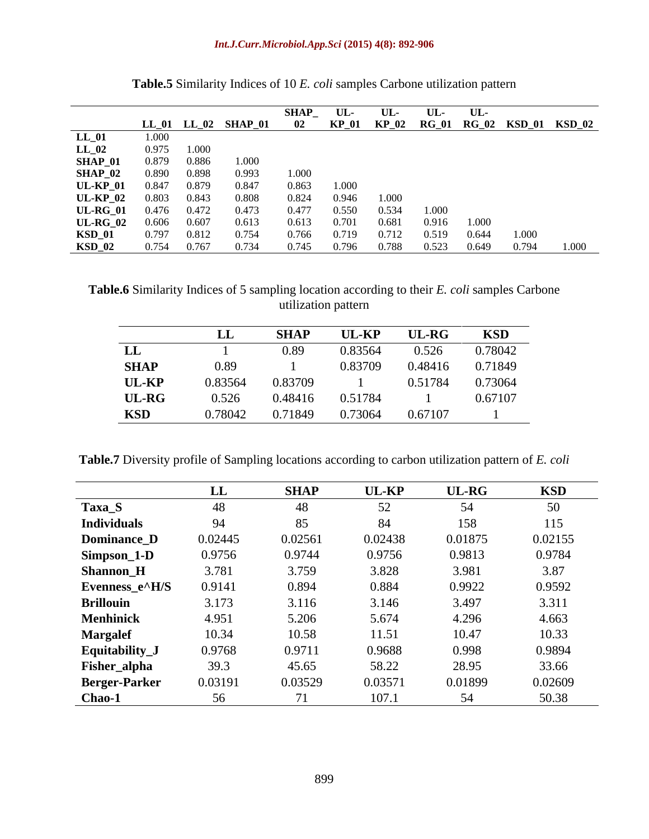|                                                               |       |             |                           | <b>SHAP</b> | UL-   | $UL$ - | UL-   | UL    |       |                                       |
|---------------------------------------------------------------|-------|-------------|---------------------------|-------------|-------|--------|-------|-------|-------|---------------------------------------|
|                                                               |       |             | LL_01    LL_02    SHAP_01 | 02          |       |        |       |       |       | KP_01 KP_02 RG_01 RG_02 KSD_01 KSD_02 |
| $\begin{array}{c} \text{LL\_01} \\ \text{LL\_02} \end{array}$ | 1.000 |             |                           |             |       |        |       |       |       |                                       |
|                                                               |       | 0.975 1.000 |                           |             |       |        |       |       |       |                                       |
| <b>SHAP_01</b>                                                | 0.879 | 0.886       | 1.000                     |             |       |        |       |       |       |                                       |
| $SHAP_02$                                                     | 0.890 | 0.898       | 0.993                     | 1.000       |       |        |       |       |       |                                       |
| <b>UL-KP_01</b>                                               | 0.847 | 0.879       | 0.847                     | 0.863       | 1.000 |        |       |       |       |                                       |
| <b>UL-KP_02</b>                                               | 0.803 | 0.843       | 0.808                     | 0.824       | 0.946 | 1.000  |       |       |       |                                       |
| $UL-RG_01$                                                    | 0.476 | 0.472       | 0.473                     | 0.477       | 0.550 | 0.534  | 1.000 |       |       |                                       |
| <b>UL-RG_02</b>                                               | 0.606 | 0.607       | 0.613                     | 0.613       | 0.701 | 0.681  | 0.916 | 1.000 |       |                                       |
| <b>KSD_01</b>                                                 | 0.797 | 0.812       | 0.754                     | 0.766       | 0.719 | 0.712  | 0.519 | 0.644 | 1.000 |                                       |
| $KSD_02$                                                      | 0.754 | 0.767       | 0.734                     | 0.745       | 0.796 | 0.788  | 0.523 | 0.649 | 0.794 | 1.000                                 |

| <b>Table.5</b> Similarity Indices of 10 E. coli samples Carbone utilization pattern |  |  |
|-------------------------------------------------------------------------------------|--|--|
|                                                                                     |  |  |

**Table.6** Similarity Indices of 5 sampling location according to their *E. coli* samples Carbone utilization pattern

|              |         | <b>SHAP</b> | <b>UL-KP</b> | <b>UL-RG</b> | <b>KSD</b> |
|--------------|---------|-------------|--------------|--------------|------------|
| LL           |         |             | 0.83564      | 0.526        | 0.78042    |
| <b>SHAP</b>  | 0.89    |             | 0.83709      | 0.48416      | 0.71849    |
| <b>UL-KP</b> | 0.83564 | 0.83709     |              | 0.51784      | 0.73064    |
| UL-RG        | 0.526   | 0.48416     | 0.51784      |              | 0.67107    |
| <b>KSD</b>   | 0.78042 | 0.71849     | 0.73064      | 0.67107      |            |

**Table.7** Diversity profile of Sampling locations according to carbon utilization pattern of *E. coli*

| <b>UL-RG</b><br><b>UL-KP</b><br><b>KSD</b><br><b>SHAP</b><br>LL<br>Taxa_S<br>52<br><b>Individuals</b><br>158<br>115<br>94<br>84<br>0.02561<br>0.01875<br>0.02445<br>0.02438<br>0.02155<br>Dominance_D<br>Simpson_1-D<br>0.9756<br>0.9756<br>0.9813<br>0.9744<br>0.9784<br>3.828<br>3.781<br>3.759<br><b>Shannon_H</b><br>3.981<br>3.87<br>Evenness_e^H/S<br>0.9141<br>0.884<br>0.9922<br>0.9592<br>0.894<br><b>Brillouin</b><br>3.173<br>3.146<br>3.116<br>3.497<br>3.311<br><b>Menhinick</b><br>4.951<br>5.206<br>4.296<br>5.674<br>4.663<br><b>Margalef</b><br>10.34<br>10.47<br>10.58<br>11.51<br>10.33<br>Equitability_<br>0.9768<br>0.9711<br>0.9688<br>0.998<br>0.9894<br>58.22<br>28.95<br>33.66<br>39.3<br>Fisher_alpha<br>45.65<br>0.03191<br>0.03529<br>0.01899<br>0.0357<br><b>Berger-Parker</b><br>0.02609 |        |  |       |    |       |
|------------------------------------------------------------------------------------------------------------------------------------------------------------------------------------------------------------------------------------------------------------------------------------------------------------------------------------------------------------------------------------------------------------------------------------------------------------------------------------------------------------------------------------------------------------------------------------------------------------------------------------------------------------------------------------------------------------------------------------------------------------------------------------------------------------------------|--------|--|-------|----|-------|
|                                                                                                                                                                                                                                                                                                                                                                                                                                                                                                                                                                                                                                                                                                                                                                                                                        |        |  |       |    |       |
|                                                                                                                                                                                                                                                                                                                                                                                                                                                                                                                                                                                                                                                                                                                                                                                                                        |        |  |       |    |       |
|                                                                                                                                                                                                                                                                                                                                                                                                                                                                                                                                                                                                                                                                                                                                                                                                                        |        |  |       |    |       |
|                                                                                                                                                                                                                                                                                                                                                                                                                                                                                                                                                                                                                                                                                                                                                                                                                        |        |  |       |    |       |
|                                                                                                                                                                                                                                                                                                                                                                                                                                                                                                                                                                                                                                                                                                                                                                                                                        |        |  |       |    |       |
|                                                                                                                                                                                                                                                                                                                                                                                                                                                                                                                                                                                                                                                                                                                                                                                                                        |        |  |       |    |       |
|                                                                                                                                                                                                                                                                                                                                                                                                                                                                                                                                                                                                                                                                                                                                                                                                                        |        |  |       |    |       |
|                                                                                                                                                                                                                                                                                                                                                                                                                                                                                                                                                                                                                                                                                                                                                                                                                        |        |  |       |    |       |
|                                                                                                                                                                                                                                                                                                                                                                                                                                                                                                                                                                                                                                                                                                                                                                                                                        |        |  |       |    |       |
|                                                                                                                                                                                                                                                                                                                                                                                                                                                                                                                                                                                                                                                                                                                                                                                                                        |        |  |       |    |       |
|                                                                                                                                                                                                                                                                                                                                                                                                                                                                                                                                                                                                                                                                                                                                                                                                                        |        |  |       |    |       |
|                                                                                                                                                                                                                                                                                                                                                                                                                                                                                                                                                                                                                                                                                                                                                                                                                        |        |  |       |    |       |
|                                                                                                                                                                                                                                                                                                                                                                                                                                                                                                                                                                                                                                                                                                                                                                                                                        |        |  |       |    |       |
|                                                                                                                                                                                                                                                                                                                                                                                                                                                                                                                                                                                                                                                                                                                                                                                                                        | Chao-1 |  | 107.1 | 54 | 50.38 |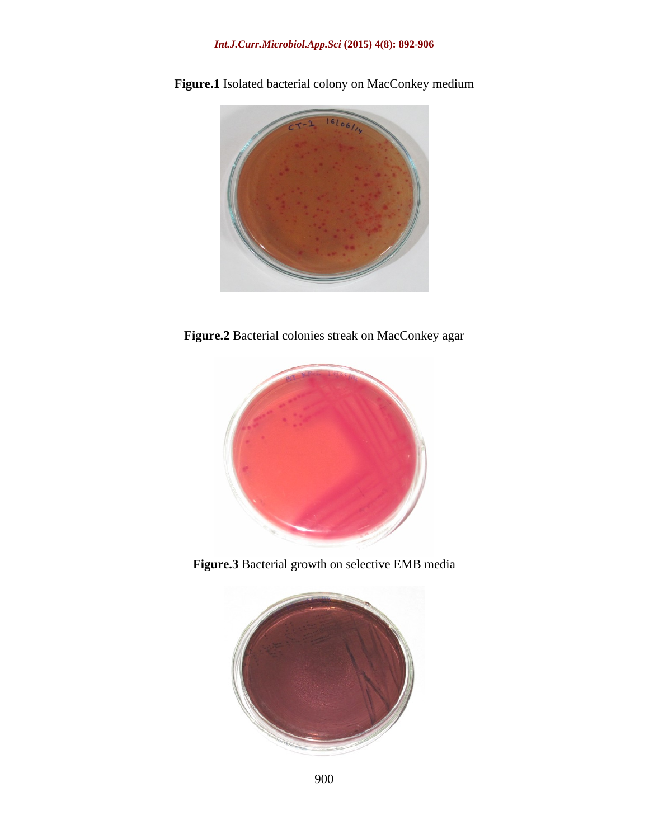

**Figure.1** Isolated bacterial colony on MacConkey medium

**Figure.2** Bacterial colonies streak on MacConkey agar



**Figure.3** Bacterial growth on selective EMB media

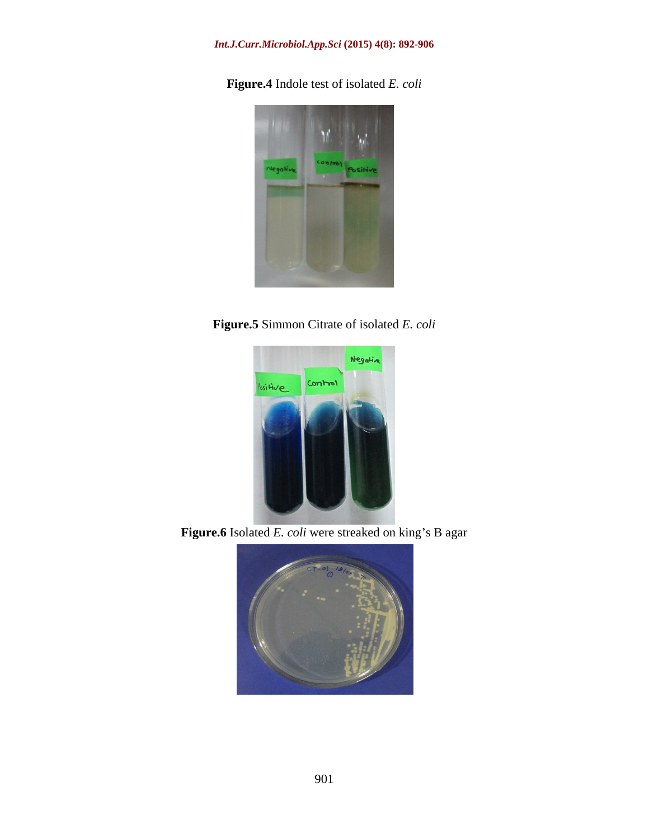### *Int.J.Curr.Microbiol.App.Sci* **(2015) 4(8): 892-906**

**Figure.4** Indole test of isolated *E. coli*



**Figure.5** Simmon Citrate of isolated *E. coli*



Figure.6 Isolated *E. coli* were streaked on king's B agar

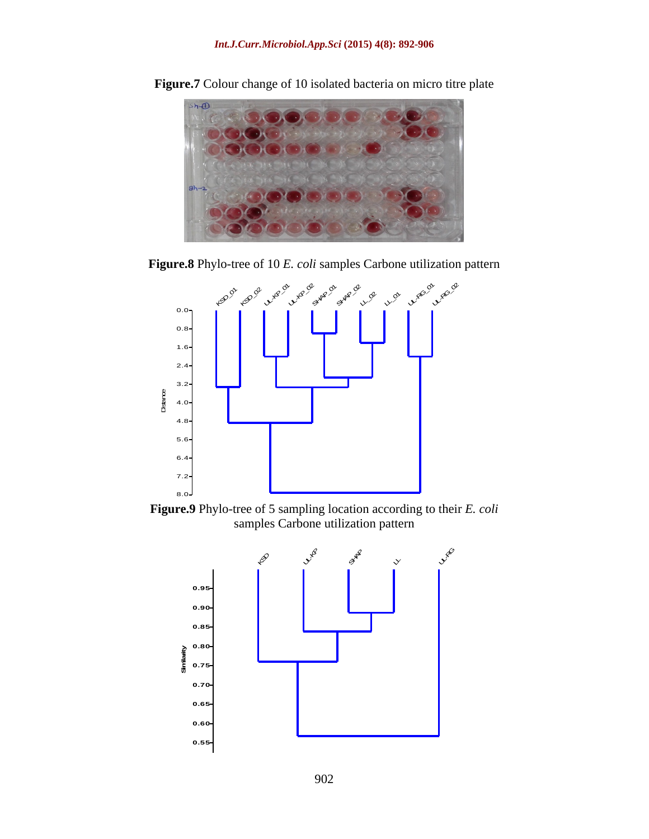

**Figure.7** Colour change of 10 isolated bacteria on micro titre plate

**Figure.8** Phylo-tree of 10 *E. coli* samples Carbone utilization pattern



**Figure.9** Phylo-tree of 5 sampling location according to their *E. coli* samples Carbone utilization pattern

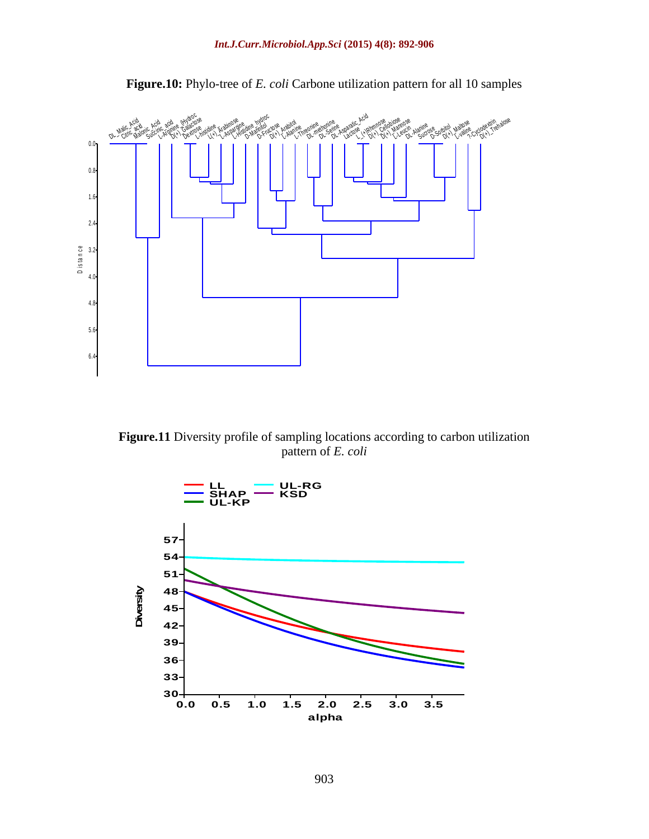

**Figure.10:** Phylo-tree of *E. coli* Carbone utilization pattern for all 10 samples

**Figure.11** Diversity profile of sampling locations according to carbon utilization pattern of *E. coli*

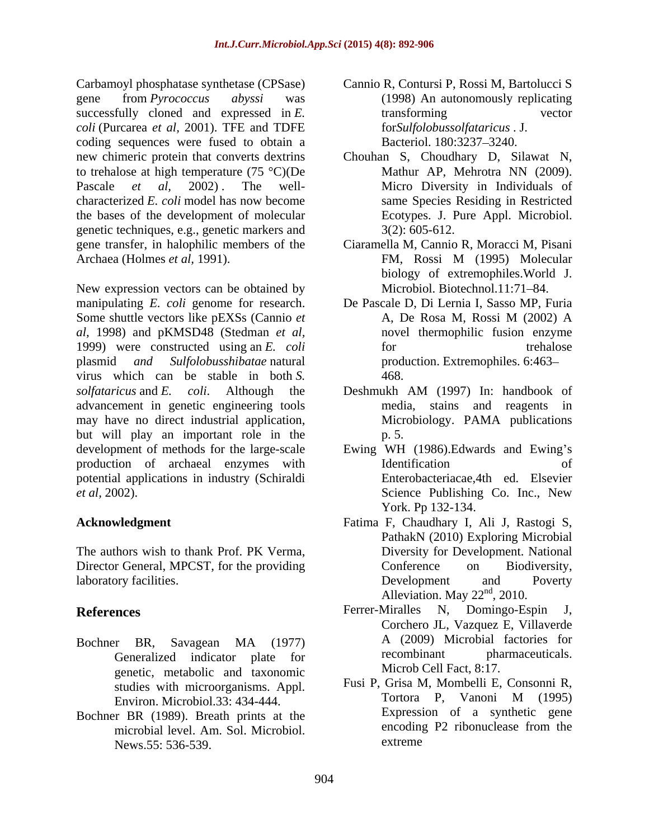Carbamoyl phosphatase synthetase (CPSase) Cannio R, Contursi P, Rossi M, Bartolucci S gene from *Pyrococcus abyssi* was (1998) An autonomously replicating successfully cloned and expressed in *E*. transforming vector *coli* (Purcarea *et al,* 2001). TFE and TDFE coding sequences were fused to obtain a Bacteriol. 180:3237-3240. new chimeric protein that converts dextrins Chouhan S, Choudhary D, Silawat N, to trehalose at high temperature  $(75 \text{ °C})(De$  Mathur AP, Mehrotra NN (2009). Pascale *et al*, 2002). The well- Micro Diversity in Individuals of characterized *E. coli* model has now become the bases of the development of molecular genetic techniques, e.g., genetic markers and gene transfer, in halophilic members of the Ciaramella M, Cannio R, Moracci M, Pisani Archaea (Holmes *et al.* 1991). FM, Rossi M (1995) Molecular

New expression vectors can be obtained by manipulating *E. coli* genome for research. De Pascale D, Di Lernia I, Sasso MP, Furia Some shuttle vectors like pEXSs (Cannio *et* A, De Rosa M, Rossi M (2002) A *al,* 1998) and pKMSD48 (Stedman *et al,*1999) were constructed using an *E. coli* plasmid *and Sulfolobusshibatae* natural production. Extremophiles. 6:463 virus which can be stable in both *S. solfataricus* and *E. coli*. Although the Deshmukh AM (1997) In: handbook of advancement in genetic engineering tools may have no direct industrial application, Microbiology. PAMA publications but will play an important role in the p. 5. development of methods for the large-scale Ewing WH (1986). Edwards and Ewing's production of archaeal enzymes with potential applications in industry (Schiraldi

The authors wish to thank Prof. PK Verma, Director General, MPCST, for the providing Conference on Biodiversity, laboratory facilities. The contraction of the contraction of the contraction of the contraction of the contraction of the contraction of the contraction of the contraction of the contraction of the contraction of the contr

- genetic, metabolic and taxonomic Environ. Microbiol.33: 434-444.
- Bochner BR (1989). Breath prints at the Expression of a synthetic gene<br>microbial level Am Sol Microbiol encoding P2 ribonuclease from the microbial level. Am. Sol. Microbiol. News.55: 536-539.
- transforming vector for*Sulfolobussolfataricus* . J. Bacteriol. 180:3237-3240.
- Mathur AP, Mehrotra NN (2009). same Species Residing in Restricted Ecotypes. J. Pure Appl. Microbiol. 3(2): 605-612.
- FM, Rossi M (1995) Molecular biology of extremophiles.World J. Microbiol. Biotechnol.11:71-84.
- A, De Rosa M, Rossi M (2002) A novel thermophilic fusion enzyme for trehalose trehalose 468.
- media, stains and reagents in Microbiology. PAMA publications p. 5.
- *et al,* 2002). Science Publishing Co. Inc., New Identification of Enterobacteriacae,4th ed. Elsevier York. Pp 132-134.
- **Acknowledgment**  Fatima F, Chaudhary I, Ali J, Rastogi S, PathakN (2010) Exploring Microbial Diversity for Development. National Conference on Biodiversity, Development and Poverty Alleviation. May  $22<sup>nd</sup>$ , 2010.
- References **References References References References References References References References References References References References References References References References Re** Bochner BR, Savagean MA (1977) Generalized indicator plate for recombinant pharmaceuticals. Ferrer-Miralles N, Domingo-Espin J, Corchero JL, Vazquez E, Villaverde A (2009) Microbial factories for recombinant pharmaceuticals. Microb Cell Fact, 8:17.
	- studies with microorganisms. Appl. Fusi P, Grisa M, Mombelli E, Consonni R,<br>Fusion Microbiol 33: 434,444 Tortora P, Vanoni M (1995) Fusi P, Grisa M, Mombelli E, Consonni R, Tortora P, Vanoni M (1995) Expression of a synthetic gene encoding P2 ribonuclease from the extreme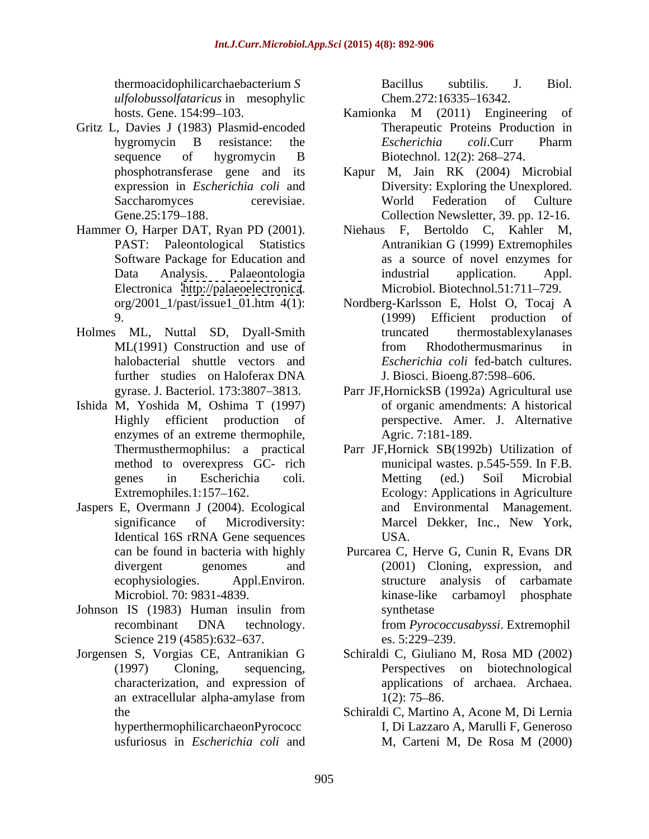*ulfolobussolfataricus* in mesophylic

- Gritz L, Davies J (1983) Plasmid-encoded
- Electronica <http://palaeoelectronica>. Microbiol. Biotechnol.51:711–729.<br>org/2001\_1/past/issue1\_01.htm 4(1): Nordberg-Karlsson E, Holst O, Tocaj A
- Holmes ML, Nuttal SD, Dyall-Smith halobacterial shuttle vectors and further studies on Haloferax DNA
- Ishida M, Yoshida M, Oshima T (1997) enzymes of an extreme thermophile,
- Jaspers E, Overmann J (2004). Ecological
- Johnson IS (1983) Human insulin from Science 219 (4585):632–637. es. 5:229–239.
- Jorgensen S, Vorgias CE, Antranikian G an extracellular alpha-amylase from  $1(2)$ : 75–86.

thermoacidophilicarchaebacterium *S* Bacillus subtilis. J. Biol. Chem.272:16335–16342.

- hosts. Gene. 154:99 103. hygromycin B resistance: the *Escherichia coli*.Curr Pharm sequence of hygromycin B Biotechnol. 12(2): 268–274. Kamionka M (2011) Engineering of Therapeutic Proteins Production in *Escherichia coli*.Curr Pharm Biotechnol. 12(2): 268-274.
- phosphotransferase gene and its Kapur M, Jain RK (2004) Microbial expression in *Escherichia coli* and Diversity: Exploring the Unexplored. Saccharomyces cerevisiae. World Federation of Culture Gene.25:179–188. Collection Newsletter, 39. pp. 12-16. World Federation of Culture
- Hammer O, Harper DAT, Ryan PD (2001). Niehaus F, Bertoldo C, Kahler M, PAST: Paleontological Statistics Antranikian G (1999) Extremophiles Software Package for Education and as a source of novel enzymes for Data Analysis. Palaeontologia industrial application. Appl. Microbiol. Biotechnol.51:711-729.
	- 9. (1999) Efficient production of ML(1991) Construction and use of from Rhodothermusmarinus in Nordberg-Karlsson E, Holst O, Tocaj A truncated thermostablexylanases from Rhodothermusmarinus in *Escherichia coli* fed-batch cultures. J. Biosci. Bioeng.87:598–606.
	- gyrase. J. Bacteriol. 173:3807–3813. Parr JF,HornickSB (1992a) Agricultural use Highly efficient production of perspective. Amer. J. Alternative of organic amendments: A historical Agric. 7:181-189.
	- Thermusthermophilus: a practical Parr JF,Hornick SB(1992b) Utilization of method to overexpress GC- rich municipal wastes. p.545-559. In F.B. genes in Escherichia coli. Extremophiles.1:157 162. Ecology: Applications in Agriculture significance of Microdiversity: Marcel Dekker, Inc., New York, Identical 16S rRNA Gene sequences Metting (ed.) Soil Microbial and Environmental Management. Marcel Dekker, Inc., New York, USA.
	- can be found in bacteria with highly Purcarea C, Herve G, Cunin R, Evans DR divergent genomes and (2001) Cloning, expression, and ecophysiologies. Appl.Environ. structure analysis of carbamate Microbiol. 70: 9831-4839. recombinant DNA technology. from *Pyrococcusabyssi*. Extremophil kinase-like carbamoyl phosphate synthetase and the synthetase of  $\mathcal{L}$ from *Pyrococcusabyssi*. Extremophil es. 5:229–239.
	- (1997) Cloning, sequencing, Perspectives on biotechnological characterization, and expression of applications of archaea. Archaea. Schiraldi C, Giuliano M, Rosa MD (2002)  $1(2)$ : 75–86.
	- the Schiraldi C, Martino A, Acone M, Di Lernia hyperthermophilicarchaeonPyrococc I, Di Lazzaro A, Marulli F, Generoso usfuriosus in *Escherichia coli* and M, Carteni M, De Rosa M (2000)